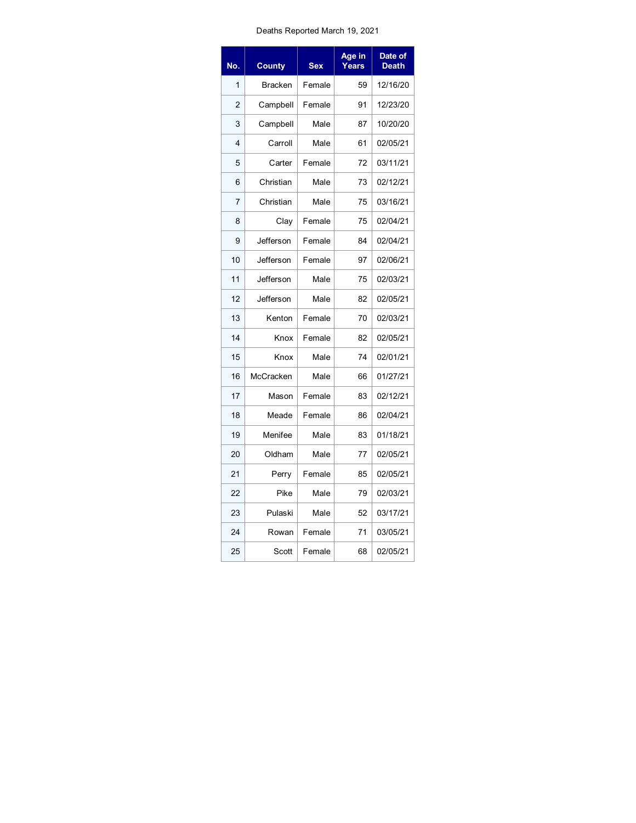## Deaths Reported March 19, 2021

| No.            | <b>County</b>  | <b>Sex</b> | Age in<br>Years | Date of<br><b>Death</b> |
|----------------|----------------|------------|-----------------|-------------------------|
| 1              | <b>Bracken</b> | Female     | 59              | 12/16/20                |
| $\overline{2}$ | Campbell       | Female     | 91              | 12/23/20                |
| 3              | Campbell       | Male       | 87              | 10/20/20                |
| 4              | Carroll        | Male       | 61              | 02/05/21                |
| 5              | Carter         | Female     | 72              | 03/11/21                |
| 6              | Christian      | Male       | 73              | 02/12/21                |
| $\overline{7}$ | Christian      | Male       | 75              | 03/16/21                |
| 8              | Clay           | Female     | 75              | 02/04/21                |
| 9              | Jefferson      | Female     | 84              | 02/04/21                |
| 10             | Jefferson      | Female     | 97              | 02/06/21                |
| 11             | Jefferson      | Male       | 75              | 02/03/21                |
| 12             | Jefferson      | Male       | 82              | 02/05/21                |
| 13             | Kenton         | Female     | 70              | 02/03/21                |
| 14             | Knox           | Female     | 82              | 02/05/21                |
| 15             | Knox           | Male       | 74              | 02/01/21                |
| 16             | McCracken      | Male       | 66              | 01/27/21                |
| 17             | Mason          | Female     | 83              | 02/12/21                |
| 18             | Meade          | Female     | 86              | 02/04/21                |
| 19             | Menifee        | Male       | 83              | 01/18/21                |
| 20             | Oldham         | Male       | 77              | 02/05/21                |
| 21             | Perry          | Female     | 85              | 02/05/21                |
| 22             | Pike           | Male       | 79              | 02/03/21                |
| 23             | Pulaski        | Male       | 52              | 03/17/21                |
| 24             | Rowan          | Female     | 71              | 03/05/21                |
| 25             | Scott          | Female     | 68              | 02/05/21                |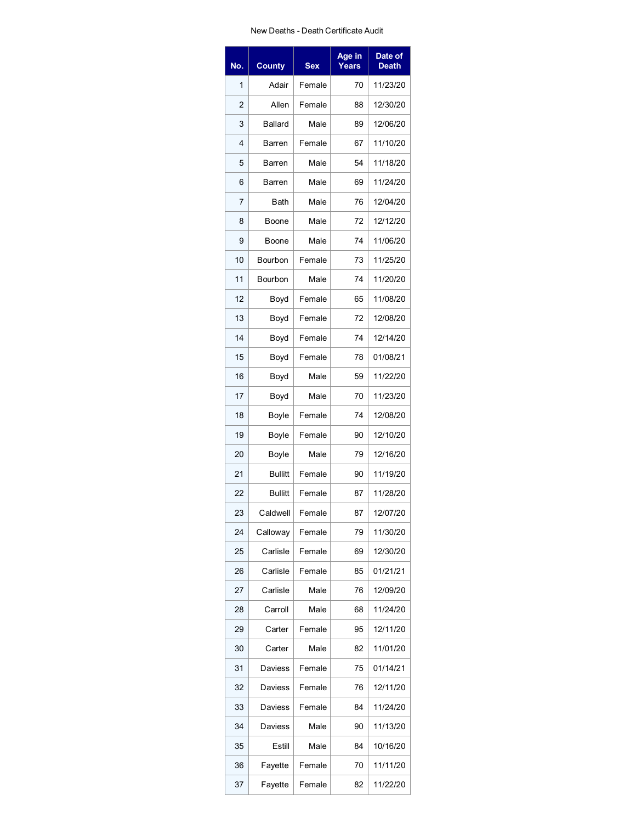## New Deaths - Death Certificate Audit

| No. | <b>County</b>  | <b>Sex</b> | Age in<br>Years | Date of<br><b>Death</b> |
|-----|----------------|------------|-----------------|-------------------------|
| 1   | Adair          | Female     | 70              | 11/23/20                |
| 2   | Allen          | Female     | 88              | 12/30/20                |
| 3   | <b>Ballard</b> | Male       | 89              | 12/06/20                |
| 4   | Barren         | Female     | 67              | 11/10/20                |
| 5   | Barren         | Male       | 54              | 11/18/20                |
| 6   | Barren         | Male       | 69              | 11/24/20                |
| 7   | Bath           | Male       | 76              | 12/04/20                |
| 8   | Boone          | Male       | 72              | 12/12/20                |
| 9   | Boone          | Male       | 74              | 11/06/20                |
| 10  | Bourbon        | Female     | 73              | 11/25/20                |
| 11  | Bourbon        | Male       | 74              | 11/20/20                |
| 12  | Boyd           | Female     | 65              | 11/08/20                |
| 13  | Boyd           | Female     | 72              | 12/08/20                |
| 14  | Boyd           | Female     | 74              | 12/14/20                |
| 15  | Boyd           | Female     | 78              | 01/08/21                |
| 16  | Boyd           | Male       | 59              | 11/22/20                |
| 17  | Boyd           | Male       | 70              | 11/23/20                |
| 18  | Boyle          | Female     | 74              | 12/08/20                |
| 19  | Boyle          | Female     | 90              | 12/10/20                |
| 20  | Boyle          | Male       | 79              | 12/16/20                |
| 21  | <b>Bullitt</b> | Female     | 90              | 11/19/20                |
| 22  | <b>Bullitt</b> | Female     | 87              | 11/28/20                |
| 23  | Caldwell       | Female     | 87              | 12/07/20                |
| 24  | Calloway       | Female     | 79              | 11/30/20                |
| 25  | Carlisle       | Female     | 69              | 12/30/20                |
| 26  | Carlisle       | Female     | 85              | 01/21/21                |
| 27  | Carlisle       | Male       | 76              | 12/09/20                |
| 28  | Carroll        | Male       | 68              | 11/24/20                |
| 29  | Carter         | Female     | 95              | 12/11/20                |
| 30  | Carter         | Male       | 82              | 11/01/20                |
| 31  | Daviess        | Female     | 75              | 01/14/21                |
| 32  | Daviess        | Female     | 76              | 12/11/20                |
| 33  | Daviess        | Female     | 84              | 11/24/20                |
| 34  | Daviess        | Male       | 90              | 11/13/20                |
| 35  | Estill         | Male       | 84              | 10/16/20                |
| 36  | Fayette        | Female     | 70              | 11/11/20                |
| 37  | Fayette        | Female     | 82              | 11/22/20                |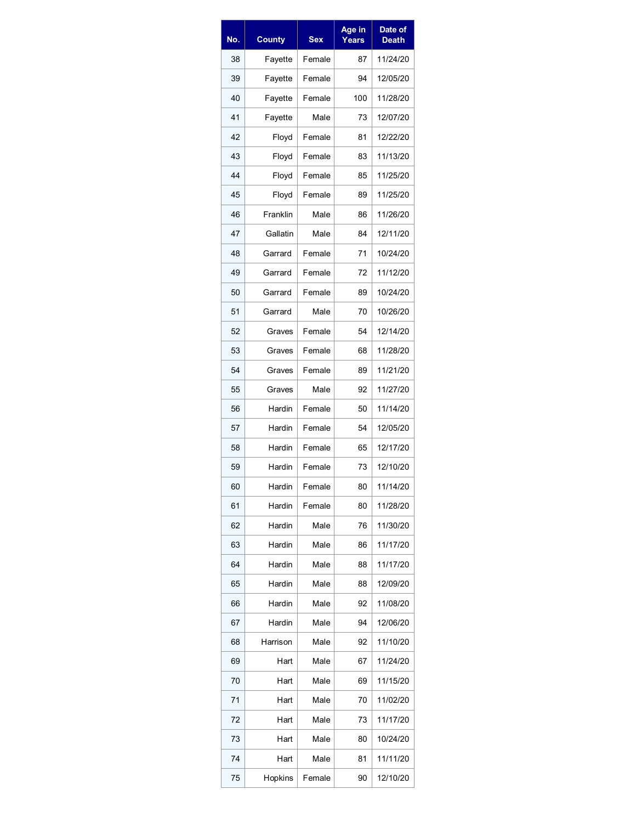| No. | <b>County</b> | <b>Sex</b> | Age in<br>Years | Date of<br><b>Death</b> |
|-----|---------------|------------|-----------------|-------------------------|
| 38  | Fayette       | Female     | 87              | 11/24/20                |
| 39  | Fayette       | Female     | 94              | 12/05/20                |
| 40  | Fayette       | Female     | 100             | 11/28/20                |
| 41  | Fayette       | Male       | 73              | 12/07/20                |
| 42  | Floyd         | Female     | 81              | 12/22/20                |
| 43  | Floyd         | Female     | 83              | 11/13/20                |
| 44  | Floyd         | Female     | 85              | 11/25/20                |
| 45  | Floyd         | Female     | 89              | 11/25/20                |
| 46  | Franklin      | Male       | 86              | 11/26/20                |
| 47  | Gallatin      | Male       | 84              | 12/11/20                |
| 48  | Garrard       | Female     | 71              | 10/24/20                |
| 49  | Garrard       | Female     | 72              | 11/12/20                |
| 50  | Garrard       | Female     | 89              | 10/24/20                |
| 51  | Garrard       | Male       | 70              | 10/26/20                |
| 52  | Graves        | Female     | 54              | 12/14/20                |
| 53  | Graves        | Female     | 68              | 11/28/20                |
| 54  | Graves        | Female     | 89              | 11/21/20                |
| 55  | Graves        | Male       | 92              | 11/27/20                |
| 56  | Hardin        | Female     | 50              | 11/14/20                |
| 57  | Hardin        | Female     | 54              | 12/05/20                |
| 58  | Hardin        | Female     | 65              | 12/17/20                |
| 59  | Hardin        | Female     | 73              | 12/10/20                |
| 60  | Hardin        | Female     | 80              | 11/14/20                |
| 61  | Hardin        | Female     | 80              | 11/28/20                |
| 62  | Hardin        | Male       | 76              | 11/30/20                |
| 63  | Hardin        | Male       | 86              | 11/17/20                |
| 64  | Hardin        | Male       | 88              | 11/17/20                |
| 65  | Hardin        | Male       | 88              | 12/09/20                |
| 66  | Hardin        | Male       | 92              | 11/08/20                |
| 67  | Hardin        | Male       | 94              | 12/06/20                |
| 68  | Harrison      | Male       | 92              | 11/10/20                |
| 69  | Hart          | Male       | 67              | 11/24/20                |
| 70  | Hart          | Male       | 69              | 11/15/20                |
| 71  | Hart          | Male       | 70              | 11/02/20                |
| 72  | Hart          | Male       | 73              | 11/17/20                |
| 73  | Hart          | Male       | 80              | 10/24/20                |
| 74  | Hart          | Male       | 81              | 11/11/20                |
| 75  | Hopkins       | Female     | 90              | 12/10/20                |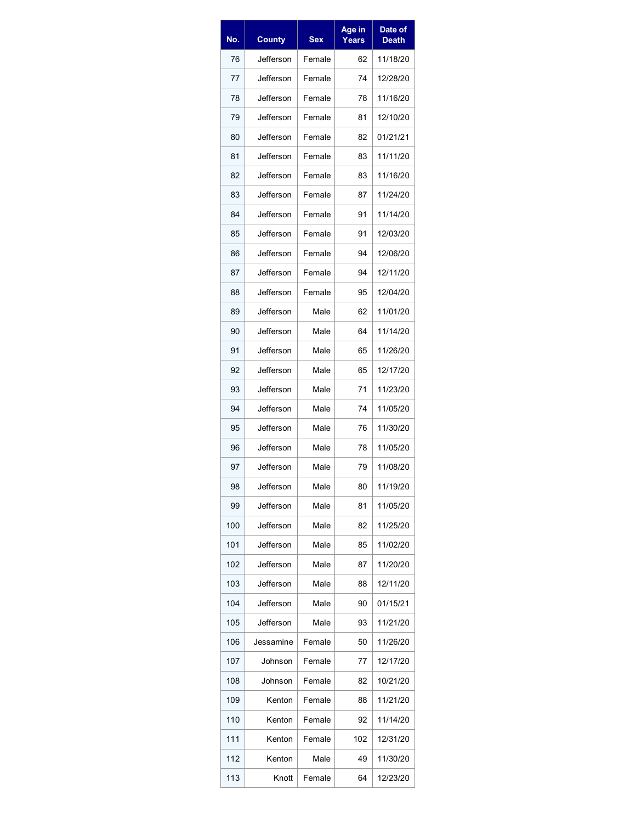| No. | <b>County</b> | Sex    | Age in<br>Years | Date of<br><b>Death</b> |
|-----|---------------|--------|-----------------|-------------------------|
| 76  | Jefferson     | Female | 62              | 11/18/20                |
| 77  | Jefferson     | Female | 74              | 12/28/20                |
| 78  | Jefferson     | Female | 78              | 11/16/20                |
| 79  | Jefferson     | Female | 81              | 12/10/20                |
| 80  | Jefferson     | Female | 82              | 01/21/21                |
| 81  | Jefferson     | Female | 83              | 11/11/20                |
| 82  | Jefferson     | Female | 83              | 11/16/20                |
| 83  | Jefferson     | Female | 87              | 11/24/20                |
| 84  | Jefferson     | Female | 91              | 11/14/20                |
| 85  | Jefferson     | Female | 91              | 12/03/20                |
| 86  | Jefferson     | Female | 94              | 12/06/20                |
| 87  | Jefferson     | Female | 94              | 12/11/20                |
| 88  | Jefferson     | Female | 95              | 12/04/20                |
| 89  | Jefferson     | Male   | 62              | 11/01/20                |
| 90  | Jefferson     | Male   | 64              | 11/14/20                |
| 91  | Jefferson     | Male   | 65              | 11/26/20                |
| 92  | Jefferson     | Male   | 65              | 12/17/20                |
| 93  | Jefferson     | Male   | 71              | 11/23/20                |
| 94  | Jefferson     | Male   | 74              | 11/05/20                |
| 95  | Jefferson     | Male   | 76              | 11/30/20                |
| 96  | Jefferson     | Male   | 78              | 11/05/20                |
| 97  | Jefferson     | Male   | 79              | 11/08/20                |
| 98  | Jefferson     | Male   | 80              | 11/19/20                |
| 99  | Jefferson     | Male   | 81              | 11/05/20                |
| 100 | Jefferson     | Male   | 82              | 11/25/20                |
| 101 | Jefferson     | Male   | 85              | 11/02/20                |
| 102 | Jefferson     | Male   | 87              | 11/20/20                |
| 103 | Jefferson     | Male   | 88              | 12/11/20                |
| 104 | Jefferson     | Male   | 90              | 01/15/21                |
| 105 | Jefferson     | Male   | 93              | 11/21/20                |
| 106 | Jessamine     | Female | 50              | 11/26/20                |
| 107 | Johnson       | Female | 77              | 12/17/20                |
| 108 | Johnson       | Female | 82              | 10/21/20                |
| 109 | Kenton        | Female | 88              | 11/21/20                |
| 110 | Kenton        | Female | 92              | 11/14/20                |
| 111 | Kenton        | Female | 102             | 12/31/20                |
| 112 | Kenton        | Male   | 49              | 11/30/20                |
| 113 | Knott         | Female | 64              | 12/23/20                |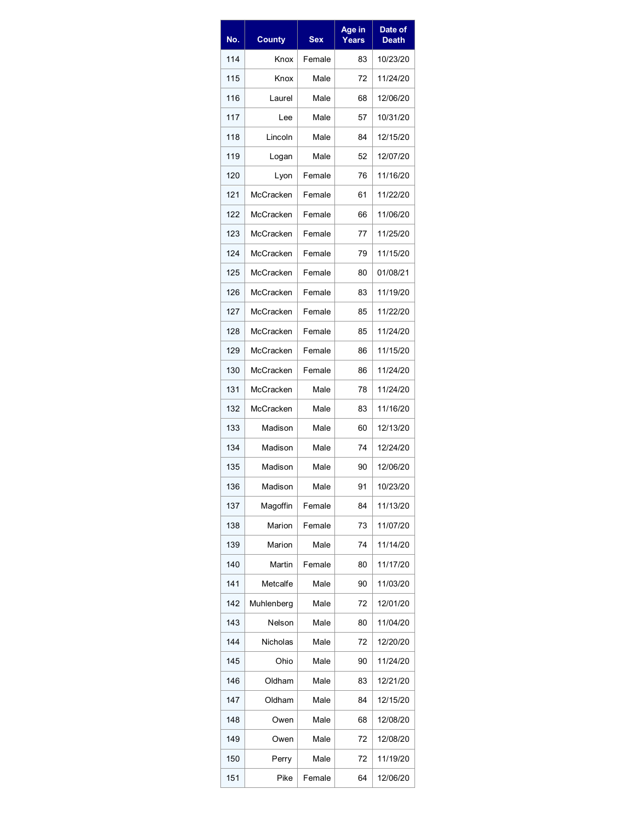| No. | <b>County</b> | <b>Sex</b> | Age in<br>Years | Date of<br><b>Death</b> |
|-----|---------------|------------|-----------------|-------------------------|
| 114 | Knox          | Female     | 83              | 10/23/20                |
| 115 | Knox          | Male       | 72              | 11/24/20                |
| 116 | Laurel        | Male       | 68              | 12/06/20                |
| 117 | Lee           | Male       | 57              | 10/31/20                |
| 118 | Lincoln       | Male       | 84              | 12/15/20                |
| 119 | Logan         | Male       | 52              | 12/07/20                |
| 120 | Lyon          | Female     | 76              | 11/16/20                |
| 121 | McCracken     | Female     | 61              | 11/22/20                |
| 122 | McCracken     | Female     | 66              | 11/06/20                |
| 123 | McCracken     | Female     | 77              | 11/25/20                |
| 124 | McCracken     | Female     | 79              | 11/15/20                |
| 125 | McCracken     | Female     | 80              | 01/08/21                |
| 126 | McCracken     | Female     | 83              | 11/19/20                |
| 127 | McCracken     | Female     | 85              | 11/22/20                |
| 128 | McCracken     | Female     | 85              | 11/24/20                |
| 129 | McCracken     | Female     | 86              | 11/15/20                |
| 130 | McCracken     | Female     | 86              | 11/24/20                |
| 131 | McCracken     | Male       | 78              | 11/24/20                |
| 132 | McCracken     | Male       | 83              | 11/16/20                |
| 133 | Madison       | Male       | 60              | 12/13/20                |
| 134 | Madison       | Male       | 74              | 12/24/20                |
| 135 | Madison       | Male       | 90              | 12/06/20                |
| 136 | Madison       | Male       | 91              | 10/23/20                |
| 137 | Magoffin      | Female     | 84              | 11/13/20                |
| 138 | Marion        | Female     | 73              | 11/07/20                |
| 139 | Marion        | Male       | 74              | 11/14/20                |
| 140 | Martin        | Female     | 80              | 11/17/20                |
| 141 | Metcalfe      | Male       | 90              | 11/03/20                |
| 142 | Muhlenberg    | Male       | 72              | 12/01/20                |
| 143 | Nelson        | Male       | 80              | 11/04/20                |
| 144 | Nicholas      | Male       | 72              | 12/20/20                |
| 145 | Ohio          | Male       | 90              | 11/24/20                |
| 146 | Oldham        | Male       | 83              | 12/21/20                |
| 147 | Oldham        | Male       | 84              | 12/15/20                |
| 148 | Owen          | Male       | 68              | 12/08/20                |
| 149 | Owen          | Male       | 72              | 12/08/20                |
| 150 | Perry         | Male       | 72              | 11/19/20                |
| 151 | Pike          | Female     | 64              | 12/06/20                |